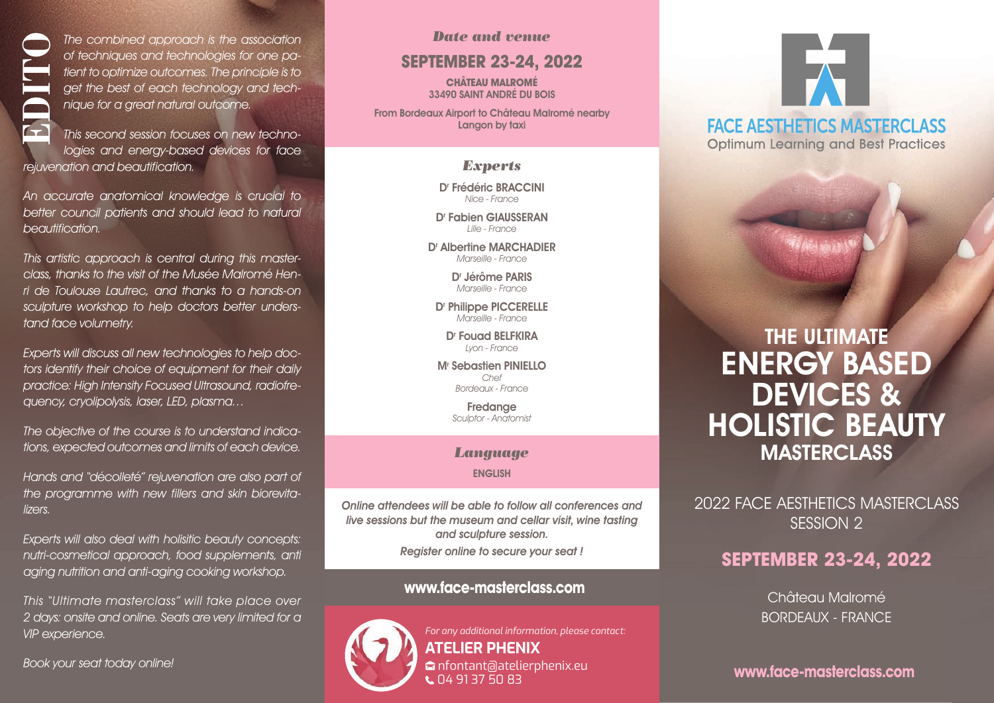The combined approach is the association of techniques and technologies for one patient to optimize outcomes. The principle is to get the best of each technology and technique for a great natural outcome.

This second session focuses on new technologies and energy-based devices for face rejuvenation and beautification.

An accurate anatomical knowledge is crucial to better council patients and should lead to natural beautification.

This artistic approach is central during this masterclass, thanks to the visit of the Musée Malromé Henri de Toulouse Lautrec, and thanks to a hands-on sculpture workshop to help doctors better understand face volumetry. The combined approvided and the techniques and the test of each original to get the best of each original to the technique for a great nation of the technique for a great nation of the technical text of the council patient

Experts will discuss all new technologies to help doctors identify their choice of equipment for their daily practice: High Intensity Focused Ultrasound, radiofrequency, cryolipolysis, laser, LED, plasma…

The objective of the course is to understand indications, expected outcomes and limits of each device.

Hands and "décolleté" rejuvenation are also part of the programme with new fillers and skin biorevitalizers.

Experts will also deal with holisitic beauty concepts: nutri-cosmetical approach, food supplements, anti aging nutrition and anti-aging cooking workshop.

This "Ultimate masterclass" will take place over 2 days: onsite and online. Seats are very limited for a VIP experience.

#### *Date and venue*

# **SEPTEMBER 23-24, 2022**

**CHÂTEAU MALROMÉ** 33490 SAINT ANDRÉ DU BOIS

From Bordeaux Airport to Château Malromé nearby Langon by taxi

#### *Experts*

D' Frédéric BRACCINI Nice - France

D' Fabien GIAUSSERAN Lille - France

Dr Albertine MARCHADIER Marseille - France

> Dr Jérôme PARIS Marseille - France

D' Philippe PICCERELLE Marseille - France

D' Fouad BELFKIRA Lyon - France

Mr Sebastien PINIELLO Chef Bordeaux - France

> **Fredange** Sculptor - Anatomist

#### *Language*

ENGLISH

Online attendees will be able to follow all conferences and live sessions but the museum and cellar visit, wine tasting and sculpture session. Register online to secure your seat !

# **www.face-masterclass.com**

 $\mathsf{L}$  04 91 37 50 83



*For any additional information, please contact:* **ATELIER PHENIX** M nfontant@atelierphenix.eu

# **FACE AESTHETICS MASTERCLASS Optimum Learning and Best Practices**

# THE ULTIMATE ENERGY BASED DEVICES & HOLISTIC BEAUTY MASTERCLASS

2022 FACE AESTHETICS MASTERCLASS SESSION 2

# **SEPTEMBER 23-24, 2022**

Château Malromé BORDEAUX - FRANCE

**www.face-masterclass.com**